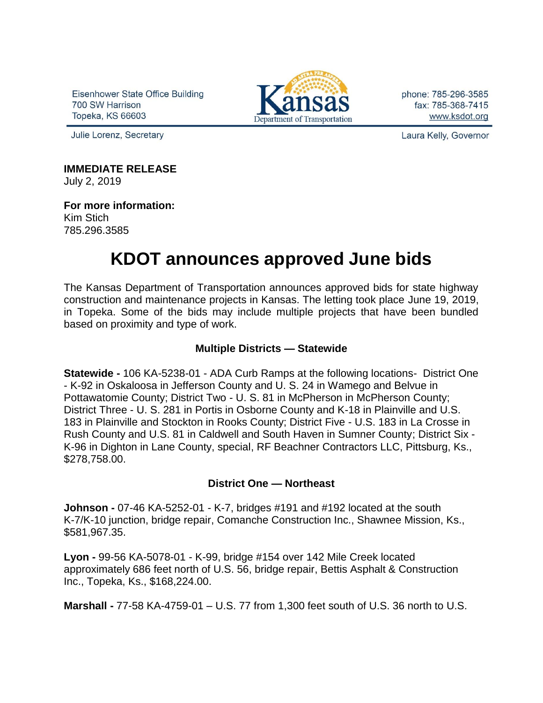Eisenhower State Office Building 700 SW Harrison Topeka, KS 66603



phone: 785-296-3585 fax: 785-368-7415 www.ksdot.org

Julie Lorenz, Secretary

Laura Kelly, Governor

# **IMMEDIATE RELEASE**

July 2, 2019

**For more information:** Kim Stich 785.296.3585

# **KDOT announces approved June bids**

The Kansas Department of Transportation announces approved bids for state highway construction and maintenance projects in Kansas. The letting took place June 19, 2019, in Topeka. Some of the bids may include multiple projects that have been bundled based on proximity and type of work.

# **Multiple Districts — Statewide**

**Statewide -** 106 KA-5238-01 - ADA Curb Ramps at the following locations- District One - K-92 in Oskaloosa in Jefferson County and U. S. 24 in Wamego and Belvue in Pottawatomie County; District Two - U. S. 81 in McPherson in McPherson County; District Three - U. S. 281 in Portis in Osborne County and K-18 in Plainville and U.S. 183 in Plainville and Stockton in Rooks County; District Five - U.S. 183 in La Crosse in Rush County and U.S. 81 in Caldwell and South Haven in Sumner County; District Six - K-96 in Dighton in Lane County, special, RF Beachner Contractors LLC, Pittsburg, Ks., \$278,758.00.

## **District One — Northeast**

**Johnson -** 07-46 KA-5252-01 - K-7, bridges #191 and #192 located at the south K-7/K-10 junction, bridge repair, Comanche Construction Inc., Shawnee Mission, Ks., \$581,967.35.

**Lyon -** 99-56 KA-5078-01 - K-99, bridge #154 over 142 Mile Creek located approximately 686 feet north of U.S. 56, bridge repair, Bettis Asphalt & Construction Inc., Topeka, Ks., \$168,224.00.

**Marshall -** 77-58 KA-4759-01 – U.S. 77 from 1,300 feet south of U.S. 36 north to U.S.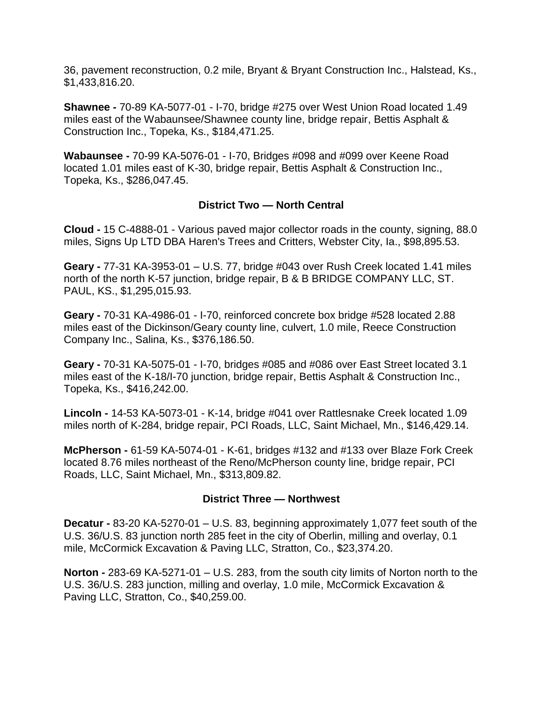36, pavement reconstruction, 0.2 mile, Bryant & Bryant Construction Inc., Halstead, Ks., \$1,433,816.20.

**Shawnee -** 70-89 KA-5077-01 - I-70, bridge #275 over West Union Road located 1.49 miles east of the Wabaunsee/Shawnee county line, bridge repair, Bettis Asphalt & Construction Inc., Topeka, Ks., \$184,471.25.

**Wabaunsee -** 70-99 KA-5076-01 - I-70, Bridges #098 and #099 over Keene Road located 1.01 miles east of K-30, bridge repair, Bettis Asphalt & Construction Inc., Topeka, Ks., \$286,047.45.

## **District Two — North Central**

**Cloud -** 15 C-4888-01 - Various paved major collector roads in the county, signing, 88.0 miles, Signs Up LTD DBA Haren's Trees and Critters, Webster City, Ia., \$98,895.53.

**Geary -** 77-31 KA-3953-01 – U.S. 77, bridge #043 over Rush Creek located 1.41 miles north of the north K-57 junction, bridge repair, B & B BRIDGE COMPANY LLC, ST. PAUL, KS., \$1,295,015.93.

**Geary -** 70-31 KA-4986-01 - I-70, reinforced concrete box bridge #528 located 2.88 miles east of the Dickinson/Geary county line, culvert, 1.0 mile, Reece Construction Company Inc., Salina, Ks., \$376,186.50.

**Geary -** 70-31 KA-5075-01 - I-70, bridges #085 and #086 over East Street located 3.1 miles east of the K-18/I-70 junction, bridge repair, Bettis Asphalt & Construction Inc., Topeka, Ks., \$416,242.00.

**Lincoln -** 14-53 KA-5073-01 - K-14, bridge #041 over Rattlesnake Creek located 1.09 miles north of K-284, bridge repair, PCI Roads, LLC, Saint Michael, Mn., \$146,429.14.

**McPherson -** 61-59 KA-5074-01 - K-61, bridges #132 and #133 over Blaze Fork Creek located 8.76 miles northeast of the Reno/McPherson county line, bridge repair, PCI Roads, LLC, Saint Michael, Mn., \$313,809.82.

## **District Three — Northwest**

**Decatur -** 83-20 KA-5270-01 – U.S. 83, beginning approximately 1,077 feet south of the U.S. 36/U.S. 83 junction north 285 feet in the city of Oberlin, milling and overlay, 0.1 mile, McCormick Excavation & Paving LLC, Stratton, Co., \$23,374.20.

**Norton -** 283-69 KA-5271-01 – U.S. 283, from the south city limits of Norton north to the U.S. 36/U.S. 283 junction, milling and overlay, 1.0 mile, McCormick Excavation & Paving LLC, Stratton, Co., \$40,259.00.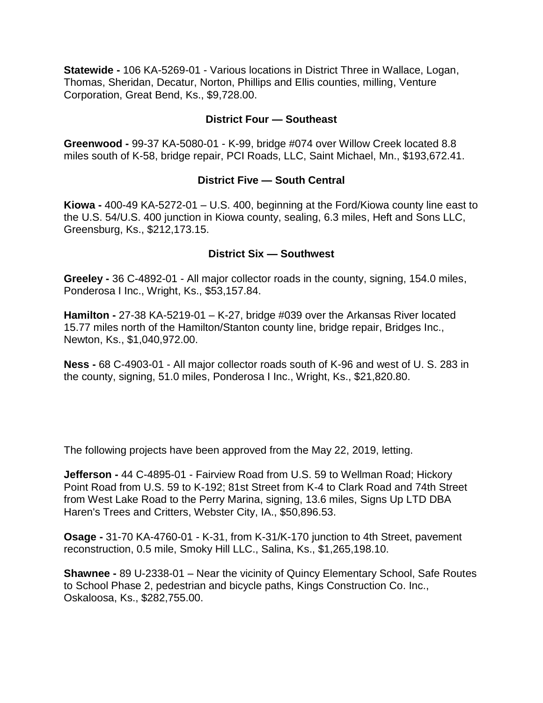**Statewide -** 106 KA-5269-01 - Various locations in District Three in Wallace, Logan, Thomas, Sheridan, Decatur, Norton, Phillips and Ellis counties, milling, Venture Corporation, Great Bend, Ks., \$9,728.00.

#### **District Four — Southeast**

**Greenwood -** 99-37 KA-5080-01 - K-99, bridge #074 over Willow Creek located 8.8 miles south of K-58, bridge repair, PCI Roads, LLC, Saint Michael, Mn., \$193,672.41.

#### **District Five — South Central**

**Kiowa -** 400-49 KA-5272-01 – U.S. 400, beginning at the Ford/Kiowa county line east to the U.S. 54/U.S. 400 junction in Kiowa county, sealing, 6.3 miles, Heft and Sons LLC, Greensburg, Ks., \$212,173.15.

#### **District Six — Southwest**

**Greeley -** 36 C-4892-01 - All major collector roads in the county, signing, 154.0 miles, Ponderosa I Inc., Wright, Ks., \$53,157.84.

**Hamilton -** 27-38 KA-5219-01 – K-27, bridge #039 over the Arkansas River located 15.77 miles north of the Hamilton/Stanton county line, bridge repair, Bridges Inc., Newton, Ks., \$1,040,972.00.

**Ness -** 68 C-4903-01 - All major collector roads south of K-96 and west of U. S. 283 in the county, signing, 51.0 miles, Ponderosa I Inc., Wright, Ks., \$21,820.80.

The following projects have been approved from the May 22, 2019, letting.

**Jefferson -** 44 C-4895-01 - Fairview Road from U.S. 59 to Wellman Road; Hickory Point Road from U.S. 59 to K-192; 81st Street from K-4 to Clark Road and 74th Street from West Lake Road to the Perry Marina, signing, 13.6 miles, Signs Up LTD DBA Haren's Trees and Critters, Webster City, IA., \$50,896.53.

**Osage -** 31-70 KA-4760-01 - K-31, from K-31/K-170 junction to 4th Street, pavement reconstruction, 0.5 mile, Smoky Hill LLC., Salina, Ks., \$1,265,198.10.

**Shawnee -** 89 U-2338-01 – Near the vicinity of Quincy Elementary School, Safe Routes to School Phase 2, pedestrian and bicycle paths, Kings Construction Co. Inc., Oskaloosa, Ks., \$282,755.00.